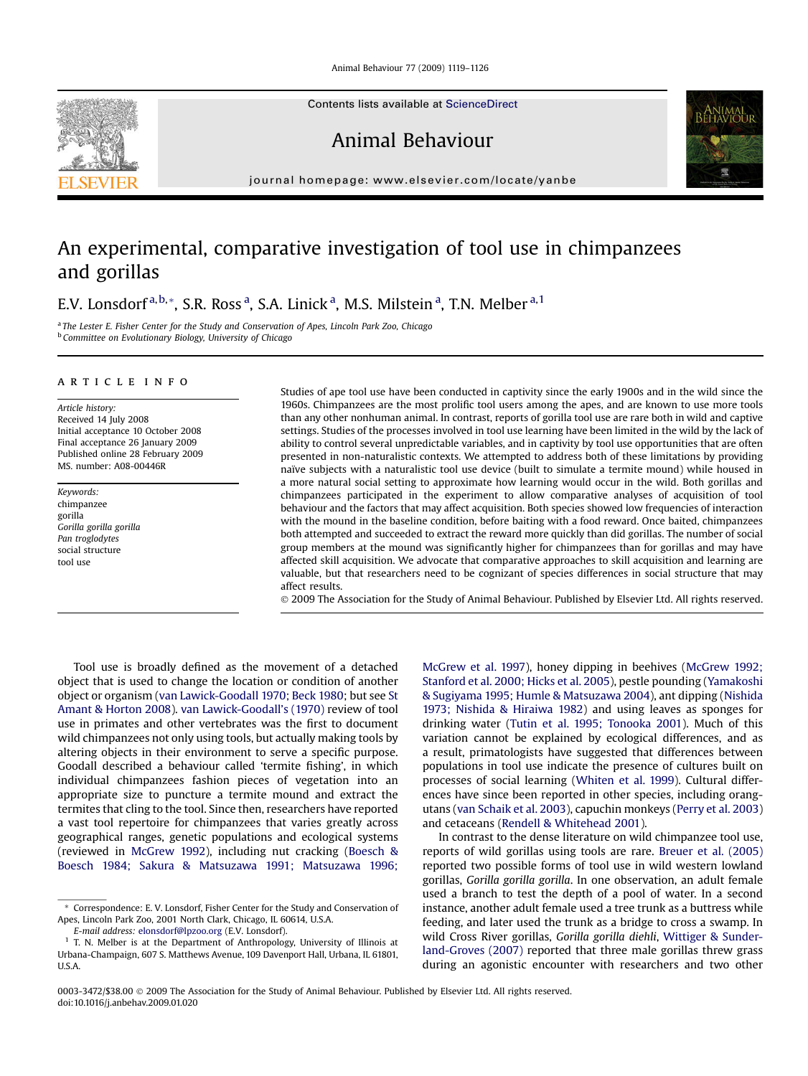Animal Behaviour 77 (2009) 1119–1126

Contents lists available at [ScienceDirect](www.sciencedirect.com/science/journal/00033472)

Animal Behaviour



journal homepage: [www.elsevier.com/locate/yanbe](http://www.elsevier.com/locate/yanbe)

# An experimental, comparative investigation of tool use in chimpanzees and gorillas

E.V. Lonsdorf <sup>a, b,</sup> \*, S.R. Ross <sup>a</sup>, S.A. Linick <sup>a</sup>, M.S. Milstein <sup>a</sup>, T.N. Melber <sup>a, 1</sup>

<sup>a</sup> The Lester E. Fisher Center for the Study and Conservation of Apes, Lincoln Park Zoo, Chicago **b** Committee on Evolutionary Biology, University of Chicago

#### article info

Article history: Received 14 July 2008 Initial acceptance 10 October 2008 Final acceptance 26 January 2009 Published online 28 February 2009 MS. number: A08-00446R

Keywords: chimpanzee gorilla Gorilla gorilla gorilla Pan troglodytes social structure tool use

Studies of ape tool use have been conducted in captivity since the early 1900s and in the wild since the 1960s. Chimpanzees are the most prolific tool users among the apes, and are known to use more tools than any other nonhuman animal. In contrast, reports of gorilla tool use are rare both in wild and captive settings. Studies of the processes involved in tool use learning have been limited in the wild by the lack of ability to control several unpredictable variables, and in captivity by tool use opportunities that are often presented in non-naturalistic contexts. We attempted to address both of these limitations by providing naïve subjects with a naturalistic tool use device (built to simulate a termite mound) while housed in a more natural social setting to approximate how learning would occur in the wild. Both gorillas and chimpanzees participated in the experiment to allow comparative analyses of acquisition of tool behaviour and the factors that may affect acquisition. Both species showed low frequencies of interaction with the mound in the baseline condition, before baiting with a food reward. Once baited, chimpanzees both attempted and succeeded to extract the reward more quickly than did gorillas. The number of social group members at the mound was significantly higher for chimpanzees than for gorillas and may have affected skill acquisition. We advocate that comparative approaches to skill acquisition and learning are valuable, but that researchers need to be cognizant of species differences in social structure that may affect results.

- 2009 The Association for the Study of Animal Behaviour. Published by Elsevier Ltd. All rights reserved.

Tool use is broadly defined as the movement of a detached object that is used to change the location or condition of another object or organism [\(van Lawick-Goodall 1970; Beck 1980](#page-6-0); but see [St](#page-7-0) [Amant & Horton 2008](#page-7-0)). [van Lawick-Goodall's \(1970\)](#page-6-0) review of tool use in primates and other vertebrates was the first to document wild chimpanzees not only using tools, but actually making tools by altering objects in their environment to serve a specific purpose. Goodall described a behaviour called 'termite fishing', in which individual chimpanzees fashion pieces of vegetation into an appropriate size to puncture a termite mound and extract the termites that cling to the tool. Since then, researchers have reported a vast tool repertoire for chimpanzees that varies greatly across geographical ranges, genetic populations and ecological systems (reviewed in [McGrew 1992](#page-6-0)), including nut cracking [\(Boesch &](#page-6-0) [Boesch 1984; Sakura & Matsuzawa 1991; Matsuzawa 1996;](#page-6-0)

E-mail address: [elonsdorf@lpzoo.org](mailto:elonsdorf@lpzoo.org) (E.V. Lonsdorf).

[McGrew et al. 1997](#page-6-0)), honey dipping in beehives ([McGrew 1992;](#page-6-0) [Stanford et al. 2000; Hicks et al. 2005\)](#page-6-0), pestle pounding ([Yamakoshi](#page-7-0) [& Sugiyama 1995; Humle & Matsuzawa 2004](#page-7-0)), ant dipping ([Nishida](#page-7-0) [1973; Nishida & Hiraiwa 1982](#page-7-0)) and using leaves as sponges for drinking water [\(Tutin et al. 1995; Tonooka 2001\)](#page-7-0). Much of this variation cannot be explained by ecological differences, and as a result, primatologists have suggested that differences between populations in tool use indicate the presence of cultures built on processes of social learning ([Whiten et al. 1999](#page-7-0)). Cultural differences have since been reported in other species, including orangutans [\(van Schaik et al. 2003](#page-7-0)), capuchin monkeys [\(Perry et al. 2003\)](#page-7-0) and cetaceans [\(Rendell & Whitehead 2001](#page-7-0)).

In contrast to the dense literature on wild chimpanzee tool use, reports of wild gorillas using tools are rare. [Breuer et al. \(2005\)](#page-6-0) reported two possible forms of tool use in wild western lowland gorillas, Gorilla gorilla gorilla. In one observation, an adult female used a branch to test the depth of a pool of water. In a second instance, another adult female used a tree trunk as a buttress while feeding, and later used the trunk as a bridge to cross a swamp. In wild Cross River gorillas, Gorilla gorilla diehli, [Wittiger & Sunder](#page-7-0)[land-Groves \(2007\)](#page-7-0) reported that three male gorillas threw grass during an agonistic encounter with researchers and two other

<sup>\*</sup> Correspondence: E. V. Lonsdorf, Fisher Center for the Study and Conservation of Apes, Lincoln Park Zoo, 2001 North Clark, Chicago, IL 60614, U.S.A.

<sup>&</sup>lt;sup>1</sup> T. N. Melber is at the Department of Anthropology, University of Illinois at Urbana-Champaign, 607 S. Matthews Avenue, 109 Davenport Hall, Urbana, IL 61801, U.S.A.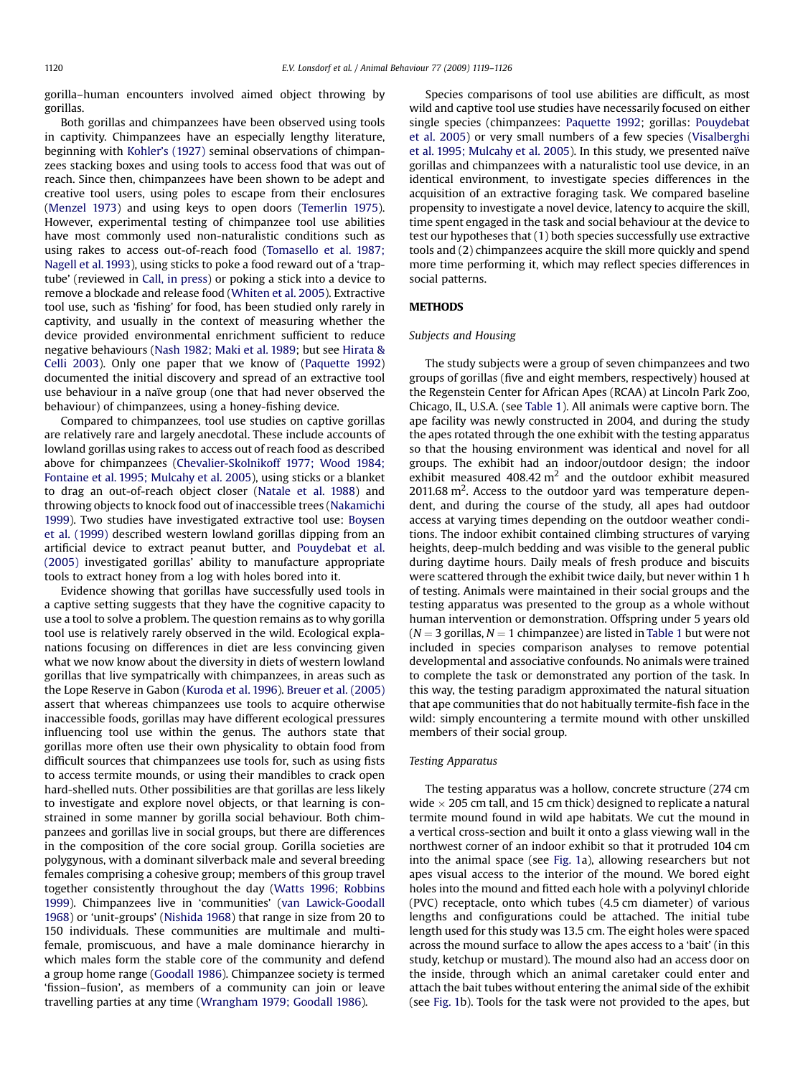gorilla–human encounters involved aimed object throwing by gorillas.

Both gorillas and chimpanzees have been observed using tools in captivity. Chimpanzees have an especially lengthy literature, beginning with [Kohler's \(1927\)](#page-6-0) seminal observations of chimpanzees stacking boxes and using tools to access food that was out of reach. Since then, chimpanzees have been shown to be adept and creative tool users, using poles to escape from their enclosures ([Menzel 1973](#page-6-0)) and using keys to open doors ([Temerlin 1975\)](#page-7-0). However, experimental testing of chimpanzee tool use abilities have most commonly used non-naturalistic conditions such as using rakes to access out-of-reach food ([Tomasello et al. 1987;](#page-7-0) [Nagell et al. 1993](#page-7-0)), using sticks to poke a food reward out of a 'traptube' (reviewed in [Call, in press](#page-6-0)) or poking a stick into a device to remove a blockade and release food ([Whiten et al. 2005](#page-7-0)). Extractive tool use, such as 'fishing' for food, has been studied only rarely in captivity, and usually in the context of measuring whether the device provided environmental enrichment sufficient to reduce negative behaviours [\(Nash 1982; Maki et al. 1989](#page-6-0); but see [Hirata &](#page-6-0) [Celli 2003\)](#page-6-0). Only one paper that we know of ([Paquette 1992\)](#page-7-0) documented the initial discovery and spread of an extractive tool use behaviour in a naïve group (one that had never observed the behaviour) of chimpanzees, using a honey-fishing device.

Compared to chimpanzees, tool use studies on captive gorillas are relatively rare and largely anecdotal. These include accounts of lowland gorillas using rakes to access out of reach food as described above for chimpanzees [\(Chevalier-Skolnikoff 1977; Wood 1984;](#page-6-0) [Fontaine et al. 1995; Mulcahy et al. 2005](#page-6-0)), using sticks or a blanket to drag an out-of-reach object closer [\(Natale et al. 1988](#page-7-0)) and throwing objects to knock food out of inaccessible trees ([Nakamichi](#page-6-0) [1999](#page-6-0)). Two studies have investigated extractive tool use: [Boysen](#page-6-0) [et al. \(1999\)](#page-6-0) described western lowland gorillas dipping from an artificial device to extract peanut butter, and [Pouydebat et al.](#page-7-0) [\(2005\)](#page-7-0) investigated gorillas' ability to manufacture appropriate tools to extract honey from a log with holes bored into it.

Evidence showing that gorillas have successfully used tools in a captive setting suggests that they have the cognitive capacity to use a tool to solve a problem. The question remains as to why gorilla tool use is relatively rarely observed in the wild. Ecological explanations focusing on differences in diet are less convincing given what we now know about the diversity in diets of western lowland gorillas that live sympatrically with chimpanzees, in areas such as the Lope Reserve in Gabon [\(Kuroda et al. 1996\)](#page-6-0). [Breuer et al. \(2005\)](#page-6-0) assert that whereas chimpanzees use tools to acquire otherwise inaccessible foods, gorillas may have different ecological pressures influencing tool use within the genus. The authors state that gorillas more often use their own physicality to obtain food from difficult sources that chimpanzees use tools for, such as using fists to access termite mounds, or using their mandibles to crack open hard-shelled nuts. Other possibilities are that gorillas are less likely to investigate and explore novel objects, or that learning is constrained in some manner by gorilla social behaviour. Both chimpanzees and gorillas live in social groups, but there are differences in the composition of the core social group. Gorilla societies are polygynous, with a dominant silverback male and several breeding females comprising a cohesive group; members of this group travel together consistently throughout the day [\(Watts 1996; Robbins](#page-7-0) [1999](#page-7-0)). Chimpanzees live in 'communities' ([van Lawick-Goodall](#page-6-0) [1968](#page-6-0)) or 'unit-groups' ([Nishida 1968\)](#page-7-0) that range in size from 20 to 150 individuals. These communities are multimale and multifemale, promiscuous, and have a male dominance hierarchy in which males form the stable core of the community and defend a group home range ([Goodall 1986\)](#page-6-0). Chimpanzee society is termed 'fission–fusion', as members of a community can join or leave travelling parties at any time ([Wrangham 1979; Goodall 1986](#page-7-0)).

Species comparisons of tool use abilities are difficult, as most wild and captive tool use studies have necessarily focused on either single species (chimpanzees: [Paquette 1992](#page-7-0); gorillas: [Pouydebat](#page-7-0) [et al. 2005\)](#page-7-0) or very small numbers of a few species [\(Visalberghi](#page-7-0) [et al. 1995; Mulcahy et al. 2005](#page-7-0)). In this study, we presented naïve gorillas and chimpanzees with a naturalistic tool use device, in an identical environment, to investigate species differences in the acquisition of an extractive foraging task. We compared baseline propensity to investigate a novel device, latency to acquire the skill, time spent engaged in the task and social behaviour at the device to test our hypotheses that (1) both species successfully use extractive tools and (2) chimpanzees acquire the skill more quickly and spend more time performing it, which may reflect species differences in social patterns.

## METHODS

#### Subjects and Housing

The study subjects were a group of seven chimpanzees and two groups of gorillas (five and eight members, respectively) housed at the Regenstein Center for African Apes (RCAA) at Lincoln Park Zoo, Chicago, IL, U.S.A. (see [Table 1](#page-2-0)). All animals were captive born. The ape facility was newly constructed in 2004, and during the study the apes rotated through the one exhibit with the testing apparatus so that the housing environment was identical and novel for all groups. The exhibit had an indoor/outdoor design; the indoor exhibit measured  $408.42 \text{ m}^2$  and the outdoor exhibit measured  $2011.68$  m<sup>2</sup>. Access to the outdoor yard was temperature dependent, and during the course of the study, all apes had outdoor access at varying times depending on the outdoor weather conditions. The indoor exhibit contained climbing structures of varying heights, deep-mulch bedding and was visible to the general public during daytime hours. Daily meals of fresh produce and biscuits were scattered through the exhibit twice daily, but never within 1 h of testing. Animals were maintained in their social groups and the testing apparatus was presented to the group as a whole without human intervention or demonstration. Offspring under 5 years old  $(N = 3$  gorillas,  $N = 1$  chimpanzee) are listed in [Table 1](#page-2-0) but were not included in species comparison analyses to remove potential developmental and associative confounds. No animals were trained to complete the task or demonstrated any portion of the task. In this way, the testing paradigm approximated the natural situation that ape communities that do not habitually termite-fish face in the wild: simply encountering a termite mound with other unskilled members of their social group.

#### Testing Apparatus

The testing apparatus was a hollow, concrete structure (274 cm wide  $\times$  205 cm tall, and 15 cm thick) designed to replicate a natural termite mound found in wild ape habitats. We cut the mound in a vertical cross-section and built it onto a glass viewing wall in the northwest corner of an indoor exhibit so that it protruded 104 cm into the animal space (see [Fig. 1a](#page-2-0)), allowing researchers but not apes visual access to the interior of the mound. We bored eight holes into the mound and fitted each hole with a polyvinyl chloride (PVC) receptacle, onto which tubes (4.5 cm diameter) of various lengths and configurations could be attached. The initial tube length used for this study was 13.5 cm. The eight holes were spaced across the mound surface to allow the apes access to a 'bait' (in this study, ketchup or mustard). The mound also had an access door on the inside, through which an animal caretaker could enter and attach the bait tubes without entering the animal side of the exhibit (see [Fig. 1](#page-2-0)b). Tools for the task were not provided to the apes, but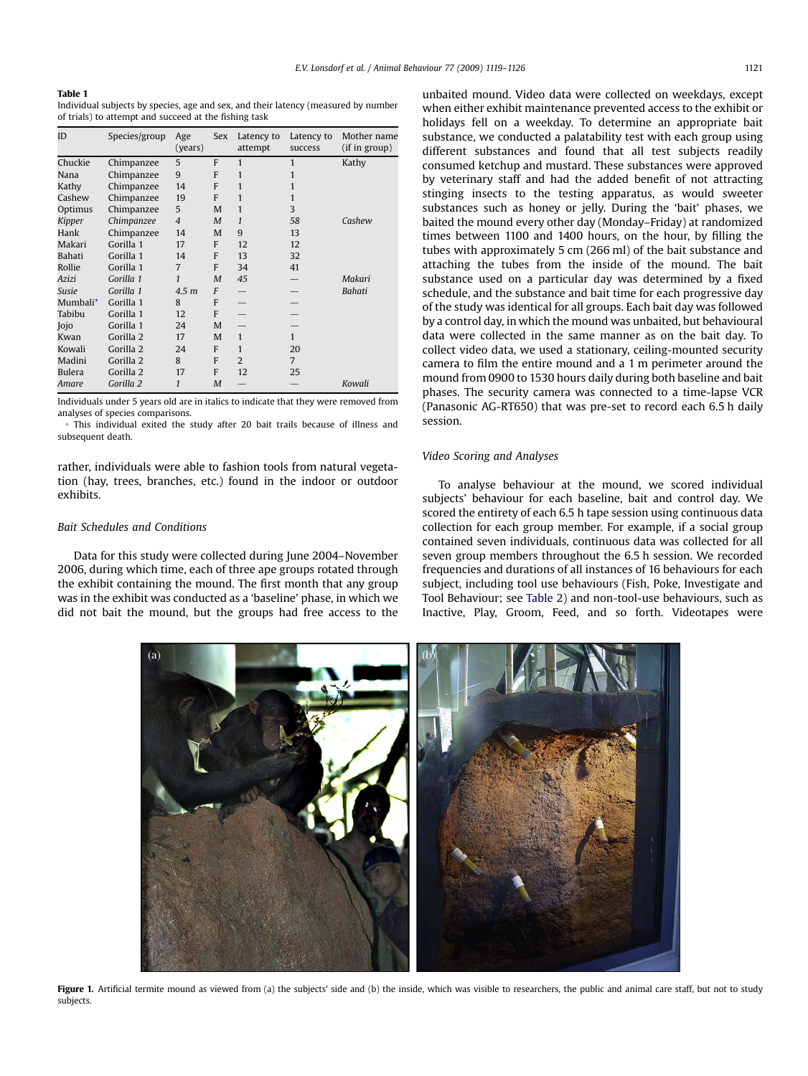#### <span id="page-2-0"></span>Table 1

Individual subjects by species, age and sex, and their latency (measured by number of trials) to attempt and succeed at the fishing task

| ID       | Species/group | Age<br>(years) | Sex | Latency to<br>attempt | Latency to<br>success | Mother name<br>(if in group) |
|----------|---------------|----------------|-----|-----------------------|-----------------------|------------------------------|
| Chuckie  | Chimpanzee    | 5              | F   | 1                     | $\mathbf{1}$          | Kathy                        |
| Nana     | Chimpanzee    | 9              | F   | 1                     | 1                     |                              |
| Kathy    | Chimpanzee    | 14             | F   | 1                     | 1                     |                              |
| Cashew   | Chimpanzee    | 19             | F   | 1                     | 1                     |                              |
| Optimus  | Chimpanzee    | 5              | M   | 1                     | 3                     |                              |
| Kipper   | Chimpanzee    | $\overline{4}$ | M   | $\mathbf{1}$          | 58                    | Cashew                       |
| Hank     | Chimpanzee    | 14             | M   | 9                     | 13                    |                              |
| Makari   | Gorilla 1     | 17             | F   | 12                    | 12                    |                              |
| Bahati   | Gorilla 1     | 14             | F   | 13                    | 32                    |                              |
| Rollie   | Gorilla 1     | 7              | F   | 34                    | 41                    |                              |
| Azizi    | Gorilla 1     | $\mathbf{1}$   | M   | 45                    |                       | Makari                       |
| Susie    | Gorilla 1     | 4.5 m          | F   |                       |                       | Bahati                       |
| Mumbali* | Gorilla 1     | 8              | F   |                       |                       |                              |
| Tabibu   | Gorilla 1     | 12             | F   |                       |                       |                              |
| Jojo     | Gorilla 1     | 24             | M   |                       |                       |                              |
| Kwan     | Gorilla 2     | 17             | M   | $\mathbf{1}$          | 1                     |                              |
| Kowali   | Gorilla 2     | 24             | F   | 1                     | 20                    |                              |
| Madini   | Gorilla 2     | 8              | F   | 2                     | $\overline{7}$        |                              |
| Bulera   | Gorilla 2     | 17             | F   | 12                    | 25                    |                              |
| Amare    | Gorilla 2     | 1              | M   |                       |                       | Kowali                       |

Individuals under 5 years old are in italics to indicate that they were removed from analyses of species comparisons.

This individual exited the study after 20 bait trails because of illness and subsequent death.

rather, individuals were able to fashion tools from natural vegetation (hay, trees, branches, etc.) found in the indoor or outdoor exhibits.

### Bait Schedules and Conditions

Data for this study were collected during June 2004–November 2006, during which time, each of three ape groups rotated through the exhibit containing the mound. The first month that any group was in the exhibit was conducted as a 'baseline' phase, in which we did not bait the mound, but the groups had free access to the unbaited mound. Video data were collected on weekdays, except when either exhibit maintenance prevented access to the exhibit or holidays fell on a weekday. To determine an appropriate bait substance, we conducted a palatability test with each group using different substances and found that all test subjects readily consumed ketchup and mustard. These substances were approved by veterinary staff and had the added benefit of not attracting stinging insects to the testing apparatus, as would sweeter substances such as honey or jelly. During the 'bait' phases, we baited the mound every other day (Monday–Friday) at randomized times between 1100 and 1400 hours, on the hour, by filling the tubes with approximately 5 cm (266 ml) of the bait substance and attaching the tubes from the inside of the mound. The bait substance used on a particular day was determined by a fixed schedule, and the substance and bait time for each progressive day of the study was identical for all groups. Each bait day was followed by a control day, in which the mound was unbaited, but behavioural data were collected in the same manner as on the bait day. To collect video data, we used a stationary, ceiling-mounted security camera to film the entire mound and a 1 m perimeter around the mound from 0900 to 1530 hours daily during both baseline and bait phases. The security camera was connected to a time-lapse VCR (Panasonic AG-RT650) that was pre-set to record each 6.5 h daily session.

# Video Scoring and Analyses

To analyse behaviour at the mound, we scored individual subjects' behaviour for each baseline, bait and control day. We scored the entirety of each 6.5 h tape session using continuous data collection for each group member. For example, if a social group contained seven individuals, continuous data was collected for all seven group members throughout the 6.5 h session. We recorded frequencies and durations of all instances of 16 behaviours for each subject, including tool use behaviours (Fish, Poke, Investigate and Tool Behaviour; see [Table 2](#page-3-0)) and non-tool-use behaviours, such as Inactive, Play, Groom, Feed, and so forth. Videotapes were



Figure 1. Artificial termite mound as viewed from (a) the subjects' side and (b) the inside, which was visible to researchers, the public and animal care staff, but not to study subjects.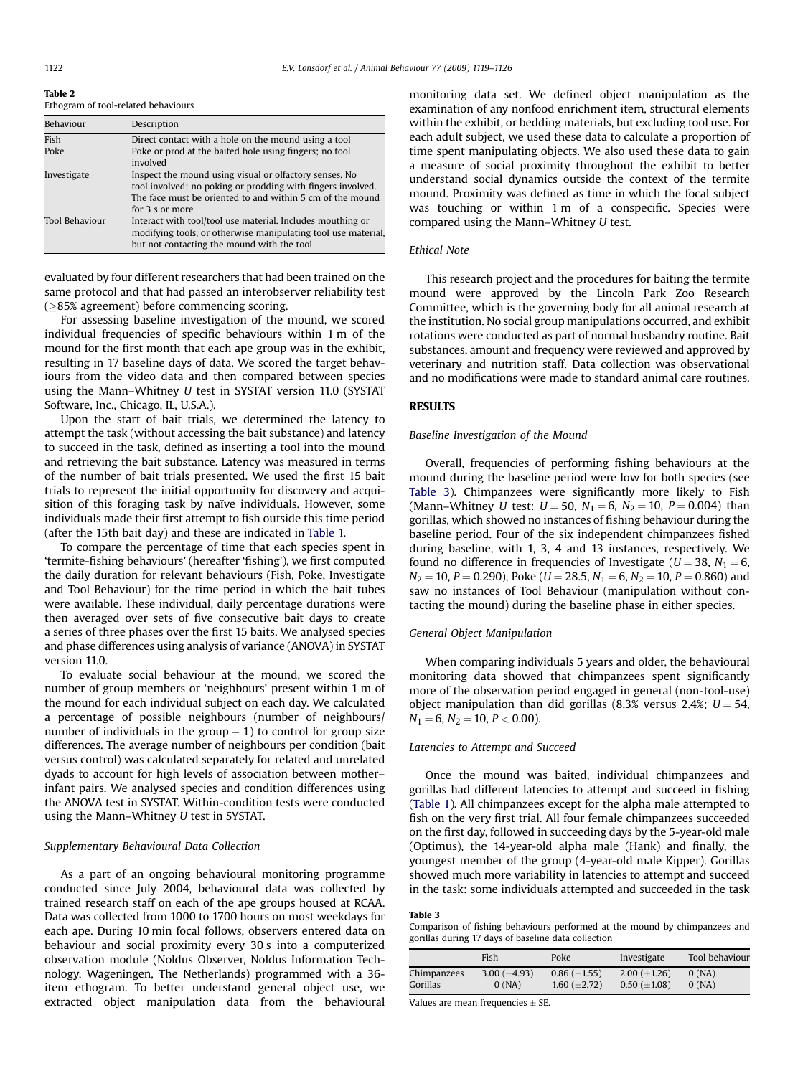<span id="page-3-0"></span>Table 2

Ethogram of tool-related behaviours

| Behaviour      | Description                                                                                                                                                                                           |
|----------------|-------------------------------------------------------------------------------------------------------------------------------------------------------------------------------------------------------|
| Fish           | Direct contact with a hole on the mound using a tool                                                                                                                                                  |
| Poke           | Poke or prod at the baited hole using fingers; no tool<br>involved                                                                                                                                    |
| Investigate    | Inspect the mound using visual or olfactory senses. No<br>tool involved; no poking or prodding with fingers involved.<br>The face must be oriented to and within 5 cm of the mound<br>for 3 s or more |
| Tool Behaviour | Interact with tool/tool use material. Includes mouthing or<br>modifying tools, or otherwise manipulating tool use material,<br>but not contacting the mound with the tool                             |

evaluated by four different researchers that had been trained on the same protocol and that had passed an interobserver reliability test  $(≥85%$  agreement) before commencing scoring.

For assessing baseline investigation of the mound, we scored individual frequencies of specific behaviours within 1 m of the mound for the first month that each ape group was in the exhibit, resulting in 17 baseline days of data. We scored the target behaviours from the video data and then compared between species using the Mann–Whitney U test in SYSTAT version 11.0 (SYSTAT Software, Inc., Chicago, IL, U.S.A.).

Upon the start of bait trials, we determined the latency to attempt the task (without accessing the bait substance) and latency to succeed in the task, defined as inserting a tool into the mound and retrieving the bait substance. Latency was measured in terms of the number of bait trials presented. We used the first 15 bait trials to represent the initial opportunity for discovery and acquisition of this foraging task by naïve individuals. However, some individuals made their first attempt to fish outside this time period (after the 15th bait day) and these are indicated in [Table 1.](#page-2-0)

To compare the percentage of time that each species spent in 'termite-fishing behaviours' (hereafter 'fishing'), we first computed the daily duration for relevant behaviours (Fish, Poke, Investigate and Tool Behaviour) for the time period in which the bait tubes were available. These individual, daily percentage durations were then averaged over sets of five consecutive bait days to create a series of three phases over the first 15 baits. We analysed species and phase differences using analysis of variance (ANOVA) in SYSTAT version 11.0.

To evaluate social behaviour at the mound, we scored the number of group members or 'neighbours' present within 1 m of the mound for each individual subject on each day. We calculated a percentage of possible neighbours (number of neighbours/ number of individuals in the group  $-1$ ) to control for group size differences. The average number of neighbours per condition (bait versus control) was calculated separately for related and unrelated dyads to account for high levels of association between mother– infant pairs. We analysed species and condition differences using the ANOVA test in SYSTAT. Within-condition tests were conducted using the Mann–Whitney U test in SYSTAT.

#### Supplementary Behavioural Data Collection

As a part of an ongoing behavioural monitoring programme conducted since July 2004, behavioural data was collected by trained research staff on each of the ape groups housed at RCAA. Data was collected from 1000 to 1700 hours on most weekdays for each ape. During 10 min focal follows, observers entered data on behaviour and social proximity every 30 s into a computerized observation module (Noldus Observer, Noldus Information Technology, Wageningen, The Netherlands) programmed with a 36 item ethogram. To better understand general object use, we extracted object manipulation data from the behavioural monitoring data set. We defined object manipulation as the examination of any nonfood enrichment item, structural elements within the exhibit, or bedding materials, but excluding tool use. For each adult subject, we used these data to calculate a proportion of time spent manipulating objects. We also used these data to gain a measure of social proximity throughout the exhibit to better understand social dynamics outside the context of the termite mound. Proximity was defined as time in which the focal subject was touching or within 1 m of a conspecific. Species were compared using the Mann–Whitney U test.

# Ethical Note

This research project and the procedures for baiting the termite mound were approved by the Lincoln Park Zoo Research Committee, which is the governing body for all animal research at the institution. No social group manipulations occurred, and exhibit rotations were conducted as part of normal husbandry routine. Bait substances, amount and frequency were reviewed and approved by veterinary and nutrition staff. Data collection was observational and no modifications were made to standard animal care routines.

#### **RESULTS**

#### Baseline Investigation of the Mound

Overall, frequencies of performing fishing behaviours at the mound during the baseline period were low for both species (see Table 3). Chimpanzees were significantly more likely to Fish (Mann–Whitney U test:  $U = 50$ ,  $N_1 = 6$ ,  $N_2 = 10$ ,  $P = 0.004$ ) than gorillas, which showed no instances of fishing behaviour during the baseline period. Four of the six independent chimpanzees fished during baseline, with 1, 3, 4 and 13 instances, respectively. We found no difference in frequencies of Investigate ( $U = 38$ ,  $N_1 = 6$ ,  $N_2 = 10$ , P = 0.290), Poke (U = 28.5,  $N_1 = 6$ ,  $N_2 = 10$ , P = 0.860) and saw no instances of Tool Behaviour (manipulation without contacting the mound) during the baseline phase in either species.

#### General Object Manipulation

When comparing individuals 5 years and older, the behavioural monitoring data showed that chimpanzees spent significantly more of the observation period engaged in general (non-tool-use) object manipulation than did gorillas (8.3% versus 2.4%;  $U = 54$ ,  $N_1 = 6$ ,  $N_2 = 10$ ,  $P < 0.00$ ).

# Latencies to Attempt and Succeed

Once the mound was baited, individual chimpanzees and gorillas had different latencies to attempt and succeed in fishing ([Table 1\)](#page-2-0). All chimpanzees except for the alpha male attempted to fish on the very first trial. All four female chimpanzees succeeded on the first day, followed in succeeding days by the 5-year-old male (Optimus), the 14-year-old alpha male (Hank) and finally, the youngest member of the group (4-year-old male Kipper). Gorillas showed much more variability in latencies to attempt and succeed in the task: some individuals attempted and succeeded in the task

#### Table 3

Comparison of fishing behaviours performed at the mound by chimpanzees and gorillas during 17 days of baseline data collection

|             | Fish              | Poke                | Investigate          | Tool behaviour |
|-------------|-------------------|---------------------|----------------------|----------------|
| Chimpanzees | 3.00 $(\pm 4.93)$ | $0.86 \ (\pm 1.55)$ | $2.00(\pm1.26)$      | 0(NA)          |
| Gorillas    | 0(NA)             | 1.60 $(\pm 2.72)$   | $0.50$ ( $\pm$ 1.08) | 0(NA)          |

Values are mean frequencies  $\pm$  SE.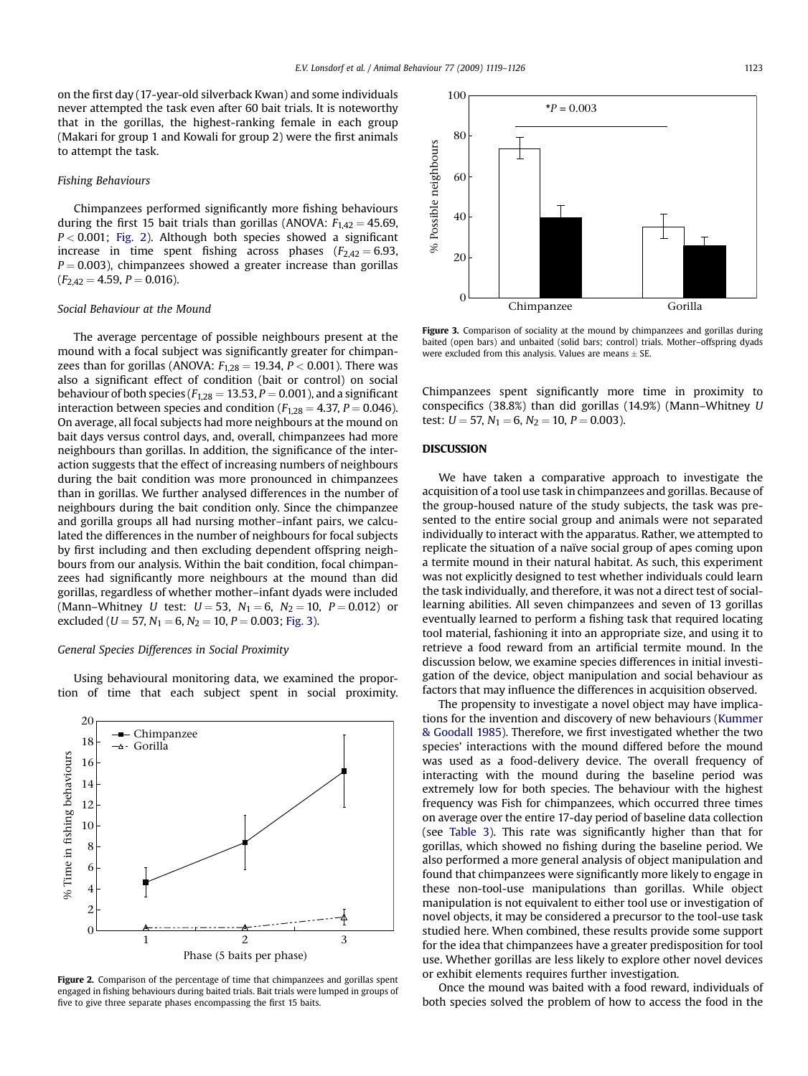<span id="page-4-0"></span>on the first day (17-year-old silverback Kwan) and some individuals never attempted the task even after 60 bait trials. It is noteworthy that in the gorillas, the highest-ranking female in each group (Makari for group 1 and Kowali for group 2) were the first animals to attempt the task.

#### Fishing Behaviours

Chimpanzees performed significantly more fishing behaviours during the first 15 bait trials than gorillas (ANOVA:  $F_{1,42} = 45.69$ ,  $P < 0.001$ ; Fig. 2). Although both species showed a significant increase in time spent fishing across phases  $(F_{2,42} = 6.93,$  $P = 0.003$ ), chimpanzees showed a greater increase than gorillas  $(F<sub>2.42</sub> = 4.59, P = 0.016).$ 

#### Social Behaviour at the Mound

The average percentage of possible neighbours present at the mound with a focal subject was significantly greater for chimpanzees than for gorillas (ANOVA:  $F_{1,28} = 19.34$ ,  $P < 0.001$ ). There was also a significant effect of condition (bait or control) on social behaviour of both species ( $F_{1,28} = 13.53$ ,  $P = 0.001$ ), and a significant interaction between species and condition ( $F_{1,28} = 4.37$ ,  $P = 0.046$ ). On average, all focal subjects had more neighbours at the mound on bait days versus control days, and, overall, chimpanzees had more neighbours than gorillas. In addition, the significance of the interaction suggests that the effect of increasing numbers of neighbours during the bait condition was more pronounced in chimpanzees than in gorillas. We further analysed differences in the number of neighbours during the bait condition only. Since the chimpanzee and gorilla groups all had nursing mother–infant pairs, we calculated the differences in the number of neighbours for focal subjects by first including and then excluding dependent offspring neighbours from our analysis. Within the bait condition, focal chimpanzees had significantly more neighbours at the mound than did gorillas, regardless of whether mother–infant dyads were included (Mann–Whitney U test:  $U = 53$ ,  $N_1 = 6$ ,  $N_2 = 10$ ,  $P = 0.012$ ) or excluded ( $U = 57$ ,  $N_1 = 6$ ,  $N_2 = 10$ ,  $P = 0.003$ ; Fig. 3).

# General Species Differences in Social Proximity

Using behavioural monitoring data, we examined the proportion of time that each subject spent in social proximity.



Figure 2. Comparison of the percentage of time that chimpanzees and gorillas spent engaged in fishing behaviours during baited trials. Bait trials were lumped in groups of five to give three separate phases encompassing the first 15 baits.



Figure 3. Comparison of sociality at the mound by chimpanzees and gorillas during baited (open bars) and unbaited (solid bars; control) trials. Mother–offspring dyads were excluded from this analysis. Values are means  $\pm$  SE.

Chimpanzees spent significantly more time in proximity to conspecifics (38.8%) than did gorillas (14.9%) (Mann–Whitney U test:  $U = 57$ ,  $N_1 = 6$ ,  $N_2 = 10$ ,  $P = 0.003$ ).

# **DISCUSSION**

We have taken a comparative approach to investigate the acquisition of a tool use task in chimpanzees and gorillas. Because of the group-housed nature of the study subjects, the task was presented to the entire social group and animals were not separated individually to interact with the apparatus. Rather, we attempted to replicate the situation of a naïve social group of apes coming upon a termite mound in their natural habitat. As such, this experiment was not explicitly designed to test whether individuals could learn the task individually, and therefore, it was not a direct test of sociallearning abilities. All seven chimpanzees and seven of 13 gorillas eventually learned to perform a fishing task that required locating tool material, fashioning it into an appropriate size, and using it to retrieve a food reward from an artificial termite mound. In the discussion below, we examine species differences in initial investigation of the device, object manipulation and social behaviour as factors that may influence the differences in acquisition observed.

The propensity to investigate a novel object may have implications for the invention and discovery of new behaviours ([Kummer](#page-6-0) [& Goodall 1985\)](#page-6-0). Therefore, we first investigated whether the two species' interactions with the mound differed before the mound was used as a food-delivery device. The overall frequency of interacting with the mound during the baseline period was extremely low for both species. The behaviour with the highest frequency was Fish for chimpanzees, which occurred three times on average over the entire 17-day period of baseline data collection (see [Table 3\)](#page-3-0). This rate was significantly higher than that for gorillas, which showed no fishing during the baseline period. We also performed a more general analysis of object manipulation and found that chimpanzees were significantly more likely to engage in these non-tool-use manipulations than gorillas. While object manipulation is not equivalent to either tool use or investigation of novel objects, it may be considered a precursor to the tool-use task studied here. When combined, these results provide some support for the idea that chimpanzees have a greater predisposition for tool use. Whether gorillas are less likely to explore other novel devices or exhibit elements requires further investigation.

Once the mound was baited with a food reward, individuals of both species solved the problem of how to access the food in the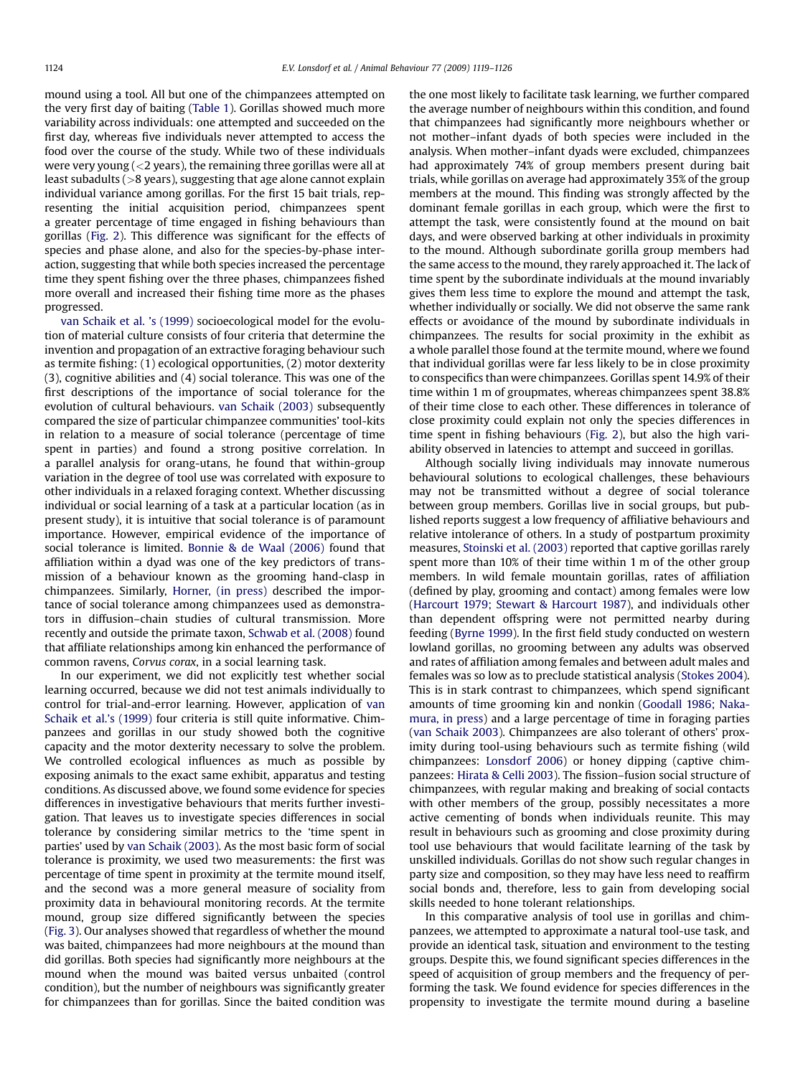mound using a tool. All but one of the chimpanzees attempted on the very first day of baiting [\(Table 1](#page-2-0)). Gorillas showed much more variability across individuals: one attempted and succeeded on the first day, whereas five individuals never attempted to access the food over the course of the study. While two of these individuals were very young (<2 years), the remaining three gorillas were all at least subadults ( $>8$  years), suggesting that age alone cannot explain individual variance among gorillas. For the first 15 bait trials, representing the initial acquisition period, chimpanzees spent a greater percentage of time engaged in fishing behaviours than gorillas ([Fig. 2](#page-4-0)). This difference was significant for the effects of species and phase alone, and also for the species-by-phase interaction, suggesting that while both species increased the percentage time they spent fishing over the three phases, chimpanzees fished more overall and increased their fishing time more as the phases progressed.

[van Schaik et al. 's \(1999\)](#page-7-0) socioecological model for the evolution of material culture consists of four criteria that determine the invention and propagation of an extractive foraging behaviour such as termite fishing: (1) ecological opportunities, (2) motor dexterity (3), cognitive abilities and (4) social tolerance. This was one of the first descriptions of the importance of social tolerance for the evolution of cultural behaviours. [van Schaik \(2003\)](#page-7-0) subsequently compared the size of particular chimpanzee communities' tool-kits in relation to a measure of social tolerance (percentage of time spent in parties) and found a strong positive correlation. In a parallel analysis for orang-utans, he found that within-group variation in the degree of tool use was correlated with exposure to other individuals in a relaxed foraging context. Whether discussing individual or social learning of a task at a particular location (as in present study), it is intuitive that social tolerance is of paramount importance. However, empirical evidence of the importance of social tolerance is limited. [Bonnie & de Waal \(2006\)](#page-6-0) found that affiliation within a dyad was one of the key predictors of transmission of a behaviour known as the grooming hand-clasp in chimpanzees. Similarly, [Horner, \(in press\)](#page-6-0) described the importance of social tolerance among chimpanzees used as demonstrators in diffusion–chain studies of cultural transmission. More recently and outside the primate taxon, [Schwab et al. \(2008\)](#page-7-0) found that affiliate relationships among kin enhanced the performance of common ravens, Corvus corax, in a social learning task.

In our experiment, we did not explicitly test whether social learning occurred, because we did not test animals individually to control for trial-and-error learning. However, application of [van](#page-7-0) [Schaik et al.'s \(1999\)](#page-7-0) four criteria is still quite informative. Chimpanzees and gorillas in our study showed both the cognitive capacity and the motor dexterity necessary to solve the problem. We controlled ecological influences as much as possible by exposing animals to the exact same exhibit, apparatus and testing conditions. As discussed above, we found some evidence for species differences in investigative behaviours that merits further investigation. That leaves us to investigate species differences in social tolerance by considering similar metrics to the 'time spent in parties' used by [van Schaik \(2003\)](#page-7-0). As the most basic form of social tolerance is proximity, we used two measurements: the first was percentage of time spent in proximity at the termite mound itself, and the second was a more general measure of sociality from proximity data in behavioural monitoring records. At the termite mound, group size differed significantly between the species ([Fig. 3](#page-4-0)). Our analyses showed that regardless of whether the mound was baited, chimpanzees had more neighbours at the mound than did gorillas. Both species had significantly more neighbours at the mound when the mound was baited versus unbaited (control condition), but the number of neighbours was significantly greater for chimpanzees than for gorillas. Since the baited condition was the one most likely to facilitate task learning, we further compared the average number of neighbours within this condition, and found that chimpanzees had significantly more neighbours whether or not mother–infant dyads of both species were included in the analysis. When mother–infant dyads were excluded, chimpanzees had approximately 74% of group members present during bait trials, while gorillas on average had approximately 35% of the group members at the mound. This finding was strongly affected by the dominant female gorillas in each group, which were the first to attempt the task, were consistently found at the mound on bait days, and were observed barking at other individuals in proximity to the mound. Although subordinate gorilla group members had the same access to the mound, they rarely approached it. The lack of time spent by the subordinate individuals at the mound invariably gives them less time to explore the mound and attempt the task, whether individually or socially. We did not observe the same rank effects or avoidance of the mound by subordinate individuals in chimpanzees. The results for social proximity in the exhibit as a whole parallel those found at the termite mound, where we found that individual gorillas were far less likely to be in close proximity to conspecifics than were chimpanzees. Gorillas spent 14.9% of their time within 1 m of groupmates, whereas chimpanzees spent 38.8% of their time close to each other. These differences in tolerance of close proximity could explain not only the species differences in time spent in fishing behaviours [\(Fig. 2](#page-4-0)), but also the high variability observed in latencies to attempt and succeed in gorillas.

Although socially living individuals may innovate numerous behavioural solutions to ecological challenges, these behaviours may not be transmitted without a degree of social tolerance between group members. Gorillas live in social groups, but published reports suggest a low frequency of affiliative behaviours and relative intolerance of others. In a study of postpartum proximity measures, [Stoinski et al. \(2003\)](#page-7-0) reported that captive gorillas rarely spent more than 10% of their time within 1 m of the other group members. In wild female mountain gorillas, rates of affiliation (defined by play, grooming and contact) among females were low ([Harcourt 1979; Stewart & Harcourt 1987](#page-6-0)), and individuals other than dependent offspring were not permitted nearby during feeding [\(Byrne 1999](#page-6-0)). In the first field study conducted on western lowland gorillas, no grooming between any adults was observed and rates of affiliation among females and between adult males and females was so low as to preclude statistical analysis [\(Stokes 2004\)](#page-7-0). This is in stark contrast to chimpanzees, which spend significant amounts of time grooming kin and nonkin ([Goodall 1986; Naka](#page-6-0)[mura, in press](#page-6-0)) and a large percentage of time in foraging parties ([van Schaik 2003\)](#page-7-0). Chimpanzees are also tolerant of others' proximity during tool-using behaviours such as termite fishing (wild chimpanzees: [Lonsdorf 2006](#page-6-0)) or honey dipping (captive chimpanzees: [Hirata & Celli 2003](#page-6-0)). The fission–fusion social structure of chimpanzees, with regular making and breaking of social contacts with other members of the group, possibly necessitates a more active cementing of bonds when individuals reunite. This may result in behaviours such as grooming and close proximity during tool use behaviours that would facilitate learning of the task by unskilled individuals. Gorillas do not show such regular changes in party size and composition, so they may have less need to reaffirm social bonds and, therefore, less to gain from developing social skills needed to hone tolerant relationships.

In this comparative analysis of tool use in gorillas and chimpanzees, we attempted to approximate a natural tool-use task, and provide an identical task, situation and environment to the testing groups. Despite this, we found significant species differences in the speed of acquisition of group members and the frequency of performing the task. We found evidence for species differences in the propensity to investigate the termite mound during a baseline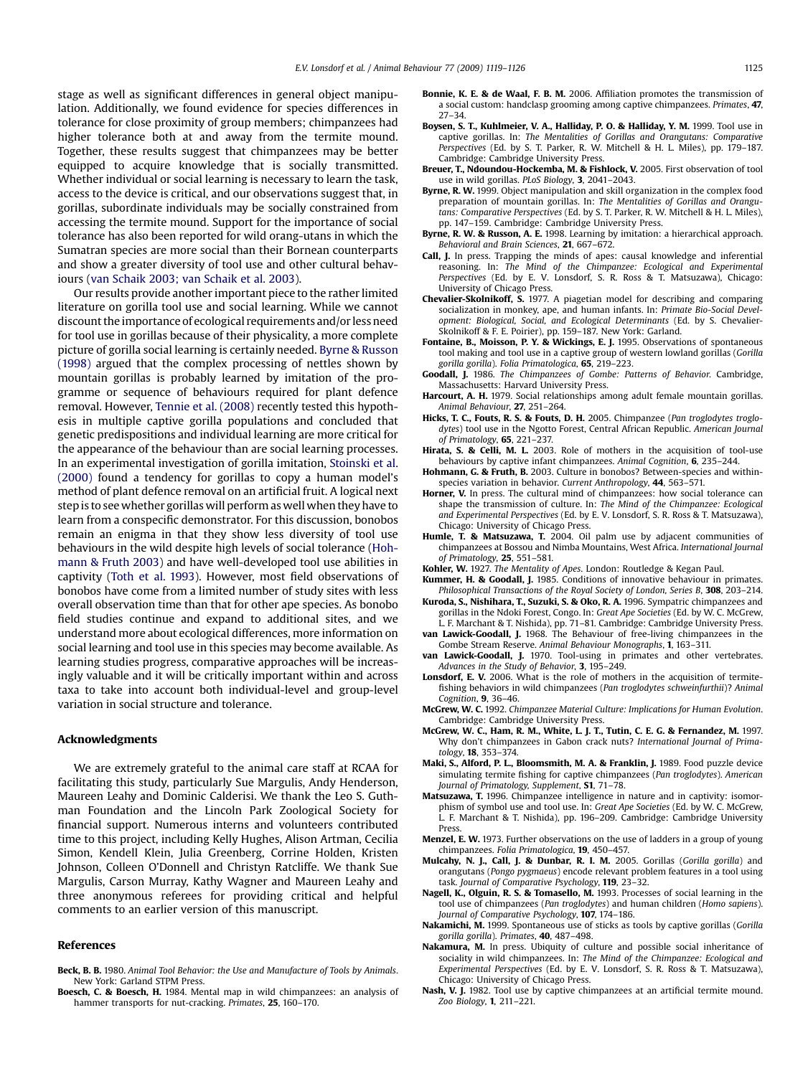<span id="page-6-0"></span>stage as well as significant differences in general object manipulation. Additionally, we found evidence for species differences in tolerance for close proximity of group members; chimpanzees had higher tolerance both at and away from the termite mound. Together, these results suggest that chimpanzees may be better equipped to acquire knowledge that is socially transmitted. Whether individual or social learning is necessary to learn the task, access to the device is critical, and our observations suggest that, in gorillas, subordinate individuals may be socially constrained from accessing the termite mound. Support for the importance of social tolerance has also been reported for wild orang-utans in which the Sumatran species are more social than their Bornean counterparts and show a greater diversity of tool use and other cultural behaviours ([van Schaik 2003; van Schaik et al. 2003](#page-7-0)).

Our results provide another important piece to the rather limited literature on gorilla tool use and social learning. While we cannot discount the importance of ecological requirements and/orless need for tool use in gorillas because of their physicality, a more complete picture of gorilla social learning is certainly needed. Byrne & Russon (1998) argued that the complex processing of nettles shown by mountain gorillas is probably learned by imitation of the programme or sequence of behaviours required for plant defence removal. However, [Tennie et al. \(2008\)](#page-7-0) recently tested this hypothesis in multiple captive gorilla populations and concluded that genetic predispositions and individual learning are more critical for the appearance of the behaviour than are social learning processes. In an experimental investigation of gorilla imitation, [Stoinski et al.](#page-7-0) [\(2000\)](#page-7-0) found a tendency for gorillas to copy a human model's method of plant defence removal on an artificial fruit. A logical next step is to see whether gorillas will perform as well when they have to learn from a conspecific demonstrator. For this discussion, bonobos remain an enigma in that they show less diversity of tool use behaviours in the wild despite high levels of social tolerance (Hohmann & Fruth 2003) and have well-developed tool use abilities in captivity ([Toth et al. 1993\)](#page-7-0). However, most field observations of bonobos have come from a limited number of study sites with less overall observation time than that for other ape species. As bonobo field studies continue and expand to additional sites, and we understand more about ecological differences, more information on social learning and tool use in this species may become available. As learning studies progress, comparative approaches will be increasingly valuable and it will be critically important within and across taxa to take into account both individual-level and group-level variation in social structure and tolerance.

#### Acknowledgments

We are extremely grateful to the animal care staff at RCAA for facilitating this study, particularly Sue Margulis, Andy Henderson, Maureen Leahy and Dominic Calderisi. We thank the Leo S. Guthman Foundation and the Lincoln Park Zoological Society for financial support. Numerous interns and volunteers contributed time to this project, including Kelly Hughes, Alison Artman, Cecilia Simon, Kendell Klein, Julia Greenberg, Corrine Holden, Kristen Johnson, Colleen O'Donnell and Christyn Ratcliffe. We thank Sue Margulis, Carson Murray, Kathy Wagner and Maureen Leahy and three anonymous referees for providing critical and helpful comments to an earlier version of this manuscript.

#### References

- Beck, B. B. 1980. Animal Tool Behavior: the Use and Manufacture of Tools by Animals. New York: Garland STPM Press.
- Boesch, C. & Boesch, H. 1984. Mental map in wild chimpanzees: an analysis of hammer transports for nut-cracking. Primates, 25, 160-170.
- Bonnie, K. E. & de Waal, F. B. M. 2006. Affiliation promotes the transmission of a social custom: handclasp grooming among captive chimpanzees. Primates, 47, 27–34.
- Boysen, S. T., Kuhlmeier, V. A., Halliday, P. O. & Halliday, Y. M. 1999. Tool use in captive gorillas. In: The Mentalities of Gorillas and Orangutans: Comparative Perspectives (Ed. by S. T. Parker, R. W. Mitchell & H. L. Miles), pp. 179–187. Cambridge: Cambridge University Press.
- Breuer, T., Ndoundou-Hockemba, M. & Fishlock, V. 2005. First observation of tool use in wild gorillas. PLoS Biology, 3, 2041–2043.
- Byrne, R. W. 1999. Object manipulation and skill organization in the complex food preparation of mountain gorillas. In: The Mentalities of Gorillas and Orangutans: Comparative Perspectives (Ed. by S. T. Parker, R. W. Mitchell & H. L. Miles), pp. 147–159. Cambridge: Cambridge University Press.
- Byrne, R. W. & Russon, A. E. 1998. Learning by imitation: a hierarchical approach. Behavioral and Brain Sciences, 21, 667–672.
- Call, J. In press. Trapping the minds of apes: causal knowledge and inferential reasoning. In: The Mind of the Chimpanzee: Ecological and Experimental Perspectives (Ed. by E. V. Lonsdorf, S. R. Ross & T. Matsuzawa), Chicago: University of Chicago Press.
- Chevalier-Skolnikoff, S. 1977. A piagetian model for describing and comparing socialization in monkey, ape, and human infants. In: Primate Bio-Social Development: Biological, Social, and Ecological Determinants (Ed. by S. Chevalier-Skolnikoff & F. E. Poirier), pp. 159–187. New York: Garland.
- Fontaine, B., Moisson, P. Y. & Wickings, E. J. 1995. Observations of spontaneous tool making and tool use in a captive group of western lowland gorillas (Gorilla gorilla gorilla). Folia Primatologica, 65, 219–223.
- Goodall, J. 1986. The Chimpanzees of Gombe: Patterns of Behavior. Cambridge, Massachusetts: Harvard University Press.
- Harcourt, A. H. 1979. Social relationships among adult female mountain gorillas. Animal Behaviour, 27, 251–264.
- Hicks, T. C., Fouts, R. S. & Fouts, D. H. 2005. Chimpanzee (Pan troglodytes troglodytes) tool use in the Ngotto Forest, Central African Republic. American Journal of Primatology, 65, 221–237.
- Hirata, S. & Celli, M. L. 2003. Role of mothers in the acquisition of tool-use behaviours by captive infant chimpanzees. Animal Cognition, 6, 235–244.
- Hohmann, G. & Fruth, B. 2003. Culture in bonobos? Between-species and withinspecies variation in behavior. Current Anthropology, 44, 563-571.
- Horner, V. In press. The cultural mind of chimpanzees: how social tolerance can shape the transmission of culture. In: The Mind of the Chimpanzee: Ecological and Experimental Perspectives (Ed. by E. V. Lonsdorf, S. R. Ross & T. Matsuzawa), Chicago: University of Chicago Press.
- Humle, T. & Matsuzawa, T. 2004. Oil palm use by adjacent communities of chimpanzees at Bossou and Nimba Mountains, West Africa. International Journal of Primatology, 25, 551–581.
- Kohler, W. 1927. The Mentality of Apes. London: Routledge & Kegan Paul.
- Kummer, H. & Goodall, J. 1985. Conditions of innovative behaviour in primates. Philosophical Transactions of the Royal Society of London, Series B, 308, 203-214.
- Kuroda, S., Nishihara, T., Suzuki, S. & Oko, R. A. 1996. Sympatric chimpanzees and gorillas in the Ndoki Forest, Congo. In: Great Ape Societies (Ed. by W. C. McGrew, L. F. Marchant & T. Nishida), pp. 71–81. Cambridge: Cambridge University Press.
- van Lawick-Goodall, J. 1968. The Behaviour of free-living chimpanzees in the Gombe Stream Reserve. Animal Behaviour Monographs, 1, 163–311.
- van Lawick-Goodall, J. 1970. Tool-using in primates and other vertebrates. Advances in the Study of Behavior, 3, 195–249.
- Lonsdorf, E. V. 2006. What is the role of mothers in the acquisition of termitefishing behaviors in wild chimpanzees (Pan troglodytes schweinfurthii)? Animal Cognition, 9, 36–46.
- McGrew, W. C. 1992. Chimpanzee Material Culture: Implications for Human Evolution. Cambridge: Cambridge University Press.
- McGrew, W. C., Ham, R. M., White, L. J. T., Tutin, C. E. G. & Fernandez, M. 1997. Why don't chimpanzees in Gabon crack nuts? International Journal of Primatology, 18, 353–374.
- Maki, S., Alford, P. L., Bloomsmith, M. A. & Franklin, J. 1989. Food puzzle device simulating termite fishing for captive chimpanzees (Pan troglodytes). American Journal of Primatology, Supplement, S1, 71–78.
- Matsuzawa, T. 1996. Chimpanzee intelligence in nature and in captivity: isomorphism of symbol use and tool use. In: Great Ape Societies (Ed. by W. C. McGrew, L. F. Marchant & T. Nishida), pp. 196–209. Cambridge: Cambridge University Press.
- Menzel, E. W. 1973. Further observations on the use of ladders in a group of young chimpanzees. Folia Primatologica, 19, 450–457.
- Mulcahy, N. J., Call, J. & Dunbar, R. I. M. 2005. Gorillas (Gorilla gorilla) and orangutans (Pongo pygmaeus) encode relevant problem features in a tool using task. Journal of Comparative Psychology, 119, 23–32.
- Nagell, K., Olguin, R. S. & Tomasello, M. 1993. Processes of social learning in the tool use of chimpanzees (Pan troglodytes) and human children (Homo sapiens). Journal of Comparative Psychology, 107, 174–186.
- Nakamichi, M. 1999. Spontaneous use of sticks as tools by captive gorillas (Gorilla gorilla gorilla). Primates, 40, 487–498.
- Nakamura, M. In press. Ubiquity of culture and possible social inheritance of sociality in wild chimpanzees. In: The Mind of the Chimpanzee: Ecological and Experimental Perspectives (Ed. by E. V. Lonsdorf, S. R. Ross & T. Matsuzawa), Chicago: University of Chicago Press.
- Nash, V. J. 1982. Tool use by captive chimpanzees at an artificial termite mound. Zoo Biology, 1, 211–221.